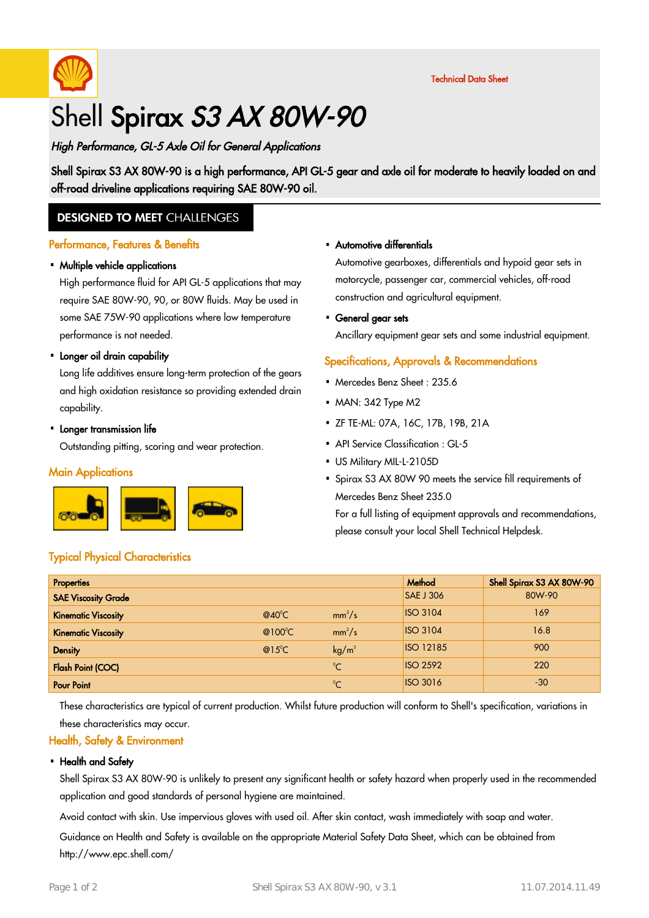

Technical Data Sheet

# Shell Spirax S3 AX 80W-90

# High Performance, GL-5 Axle Oil for General Applications

Shell Spirax S3 AX 80W-90 is a high performance, API GL-5 gear and axle oil for moderate to heavily loaded on and off-road driveline applications requiring SAE 80W-90 oil.

## **DESIGNED TO MEET CHALLENGES**

### Performance, Features & Benefits

# • Multiple vehicle applications

High performance fluid for API GL-5 applications that may require SAE 80W-90, 90, or 80W fluids. May be used in some SAE 75W-90 applications where low temperature performance is not needed.

# • Longer oil drain capability

Long life additives ensure long-term protection of the gears and high oxidation resistance so providing extended drain capability.

# • Longer transmission life

Outstanding pitting, scoring and wear protection.

#### **Main Applications**



## Typical Physical Characteristics

#### Automotive differentials ·

Automotive gearboxes, differentials and hypoid gear sets in motorcycle, passenger car, commercial vehicles, off-road construction and agricultural equipment.

General gear sets ·

Ancillary equipment gear sets and some industrial equipment.

### Specifications, Approvals & Recommendations

- Mercedes Benz Sheet: 235.6
- MAN: 342 Type M2
- ZF TE-ML: 07A, 16C, 17B, 19B, 21A ·
- API Service Classification : GL-5
- US Military MIL-L-2105D
- Spirax S3 AX 80W 90 meets the service fill requirements of Mercedes Benz Sheet 235.0

For a full listing of equipment approvals and recommendations, please consult your local Shell Technical Helpdesk.

| <b>Properties</b>          |                   |                   | Method           | Shell Spirax S3 AX 80W-90 |
|----------------------------|-------------------|-------------------|------------------|---------------------------|
| <b>SAE Viscosity Grade</b> |                   |                   | <b>SAE J 306</b> | 80W-90                    |
| <b>Kinematic Viscosity</b> | $@40^{\circ}$ C   | $mm^2/s$          | <b>ISO 3104</b>  | 169                       |
| <b>Kinematic Viscosity</b> | @ $100^{\circ}$ C | $mm^2/s$          | <b>ISO 3104</b>  | 16.8                      |
| <b>Density</b>             | $@15^{\circ}$ C   | kg/m <sup>3</sup> | <b>ISO 12185</b> | 900                       |
| <b>Flash Point (COC)</b>   |                   | $^{\circ}$ C      | <b>ISO 2592</b>  | 220                       |
| <b>Pour Point</b>          |                   | $^{\circ}$ C      | <b>ISO 3016</b>  | $-30$                     |

These characteristics are typical of current production. Whilst future production will conform to Shell's specification, variations in these characteristics may occur.

### Health, Safety & Environment

#### • Health and Safety

Shell Spirax S3 AX 80W-90 is unlikely to present any significant health or safety hazard when properly used in the recommended application and good standards of personal hygiene are maintained.

Avoid contact with skin. Use impervious gloves with used oil. After skin contact, wash immediately with soap and water.

Guidance on Health and Safety is available on the appropriate Material Safety Data Sheet, which can be obtained from http://www.epc.shell.com/